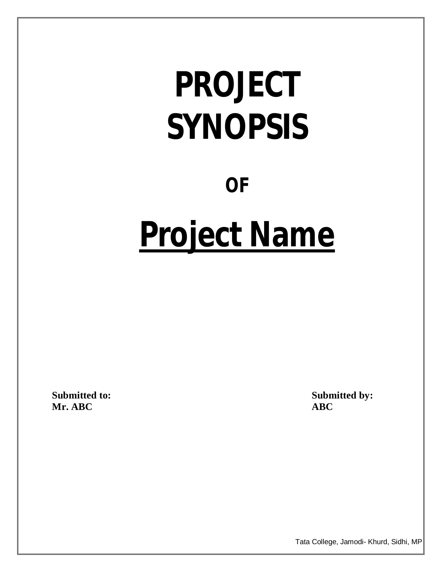# **PROJECT SYNOPSIS**

# **OF**

# **Project Name**

**Mr. ABC** 

Submitted to: Submitted by: Submitted by: Submitted by: Submitted by:  $\triangle$  **ABC** 

Tata College, Jamodi- Khurd, Sidhi, MP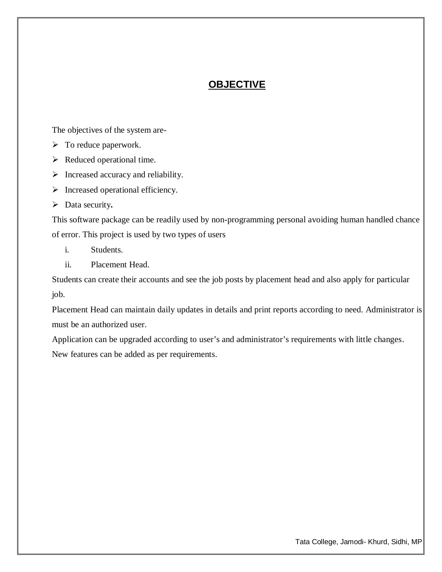# **OBJECTIVE**

The objectives of the system are-

- $\triangleright$  To reduce paperwork.
- $\triangleright$  Reduced operational time.
- $\triangleright$  Increased accuracy and reliability.
- $\triangleright$  Increased operational efficiency.
- Data security**.**

This software package can be readily used by non-programming personal avoiding human handled chance of error. This project is used by two types of users

- i. Students.
- ii. Placement Head.

Students can create their accounts and see the job posts by placement head and also apply for particular job.

Placement Head can maintain daily updates in details and print reports according to need. Administrator is must be an authorized user.

Application can be upgraded according to user's and administrator's requirements with little changes. New features can be added as per requirements.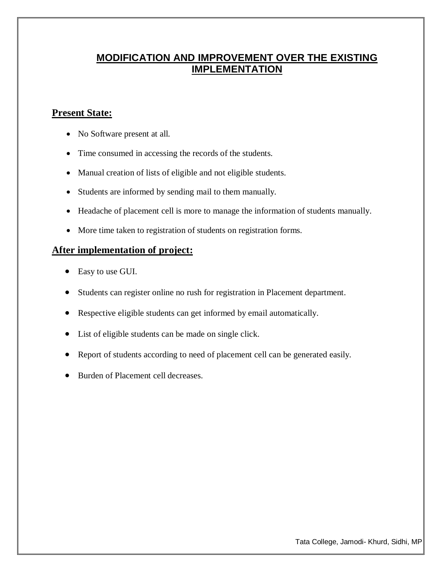# **MODIFICATION AND IMPROVEMENT OVER THE EXISTING IMPLEMENTATION**

## **Present State:**

- No Software present at all.
- Time consumed in accessing the records of the students.
- Manual creation of lists of eligible and not eligible students.
- Students are informed by sending mail to them manually.
- Headache of placement cell is more to manage the information of students manually.
- More time taken to registration of students on registration forms.

### **After implementation of project:**

- Easy to use GUI.
- Students can register online no rush for registration in Placement department.
- Respective eligible students can get informed by email automatically.
- List of eligible students can be made on single click.
- Report of students according to need of placement cell can be generated easily.
- Burden of Placement cell decreases.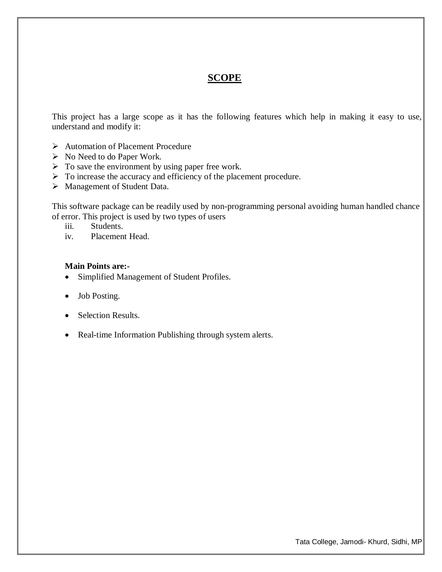### **SCOPE**

This project has a large scope as it has the following features which help in making it easy to use, understand and modify it:

- Automation of Placement Procedure
- $\triangleright$  No Need to do Paper Work.
- $\triangleright$  To save the environment by using paper free work.
- $\triangleright$  To increase the accuracy and efficiency of the placement procedure.
- > Management of Student Data.

This software package can be readily used by non-programming personal avoiding human handled chance of error. This project is used by two types of users

- iii. Students.
- iv. Placement Head.

#### **Main Points are:-**

- Simplified Management of Student Profiles.
- Job Posting.
- Selection Results.
- Real-time Information Publishing through system alerts.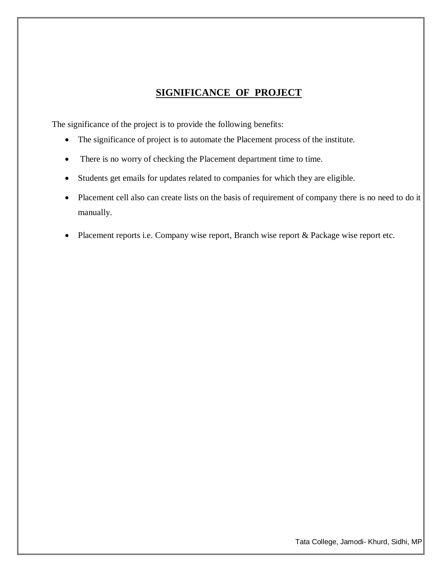# **SIGNIFICANCE OF PROJECT**

The significance of the project is to provide the following benefits:

- The significance of project is to automate the Placement process of the institute.
- There is no worry of checking the Placement department time to time.
- Students get emails for updates related to companies for which they are eligible.
- Placement cell also can create lists on the basis of requirement of company there is no need to do it manually.
- Placement reports i.e. Company wise report, Branch wise report & Package wise report etc.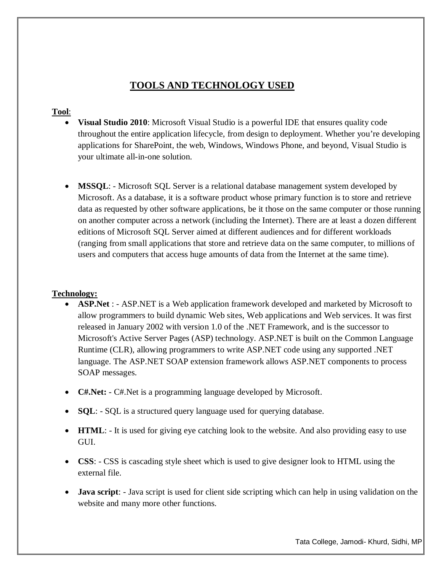# **TOOLS AND TECHNOLOGY USED**

#### **Tool**:

- **Visual Studio 2010**: Microsoft Visual Studio is a powerful IDE that ensures quality code throughout the entire application lifecycle, from design to deployment. Whether you're developing applications for SharePoint, the web, Windows, Windows Phone, and beyond, Visual Studio is your ultimate all-in-one solution.
- **MSSQL**: Microsoft SQL Server is a relational database management system developed by Microsoft. As a database, it is a software product whose primary function is to store and retrieve data as requested by other software applications, be it those on the same computer or those running on another computer across a network (including the Internet). There are at least a dozen different editions of Microsoft SQL Server aimed at different audiences and for different workloads (ranging from small applications that store and retrieve data on the same computer, to millions of users and computers that access huge amounts of data from the Internet at the same time).

#### **Technology:**

- **ASP.Net** : ASP.NET is a Web application framework developed and marketed by Microsoft to allow programmers to build dynamic Web sites, Web applications and Web services. It was first released in January 2002 with version 1.0 of the .NET Framework, and is the successor to Microsoft's Active Server Pages (ASP) technology. ASP.NET is built on the Common Language Runtime (CLR), allowing programmers to write ASP.NET code using any supported .NET language. The ASP.NET SOAP extension framework allows ASP.NET components to process SOAP messages.
- **C#.Net:** C#.Net is a programming language developed by Microsoft.
- **SQL**: SQL is a structured query language used for querying database.
- **HTML**: It is used for giving eye catching look to the website. And also providing easy to use GUI.
- **CSS**: CSS is cascading style sheet which is used to give designer look to HTML using the external file.
- **Java script**: Java script is used for client side scripting which can help in using validation on the website and many more other functions.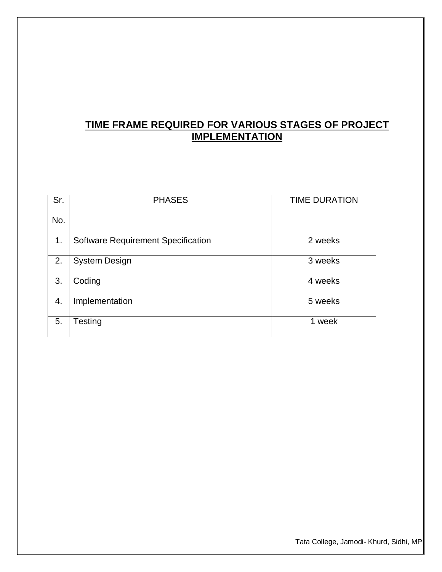# **TIME FRAME REQUIRED FOR VARIOUS STAGES OF PROJECT IMPLEMENTATION**

| Sr. | <b>PHASES</b>                             | <b>TIME DURATION</b> |
|-----|-------------------------------------------|----------------------|
| No. |                                           |                      |
| 1.  | <b>Software Requirement Specification</b> | 2 weeks              |
| 2.  | <b>System Design</b>                      | 3 weeks              |
| 3.  | Coding                                    | 4 weeks              |
| 4.  | Implementation                            | 5 weeks              |
| 5.  | Testing                                   | 1 week               |